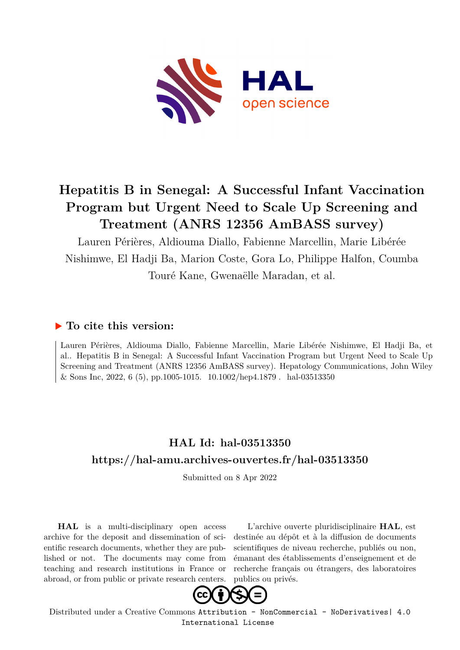

## **Hepatitis B in Senegal: A Successful Infant Vaccination Program but Urgent Need to Scale Up Screening and Treatment (ANRS 12356 AmBASS survey)**

Lauren Périères, Aldiouma Diallo, Fabienne Marcellin, Marie Libérée Nishimwe, El Hadji Ba, Marion Coste, Gora Lo, Philippe Halfon, Coumba Touré Kane, Gwenaëlle Maradan, et al.

## **To cite this version:**

Lauren Périères, Aldiouma Diallo, Fabienne Marcellin, Marie Libérée Nishimwe, El Hadji Ba, et al.. Hepatitis B in Senegal: A Successful Infant Vaccination Program but Urgent Need to Scale Up Screening and Treatment (ANRS 12356 AmBASS survey). Hepatology Communications, John Wiley & Sons Inc, 2022, 6 (5), pp.1005-1015.  $10.1002/hep4.1879$ . hal-03513350

## **HAL Id: hal-03513350 <https://hal-amu.archives-ouvertes.fr/hal-03513350>**

Submitted on 8 Apr 2022

**HAL** is a multi-disciplinary open access archive for the deposit and dissemination of scientific research documents, whether they are published or not. The documents may come from teaching and research institutions in France or abroad, or from public or private research centers.

L'archive ouverte pluridisciplinaire **HAL**, est destinée au dépôt et à la diffusion de documents scientifiques de niveau recherche, publiés ou non, émanant des établissements d'enseignement et de recherche français ou étrangers, des laboratoires publics ou privés.



Distributed under a Creative Commons [Attribution - NonCommercial - NoDerivatives| 4.0](http://creativecommons.org/licenses/by-nc-nd/4.0/) [International License](http://creativecommons.org/licenses/by-nc-nd/4.0/)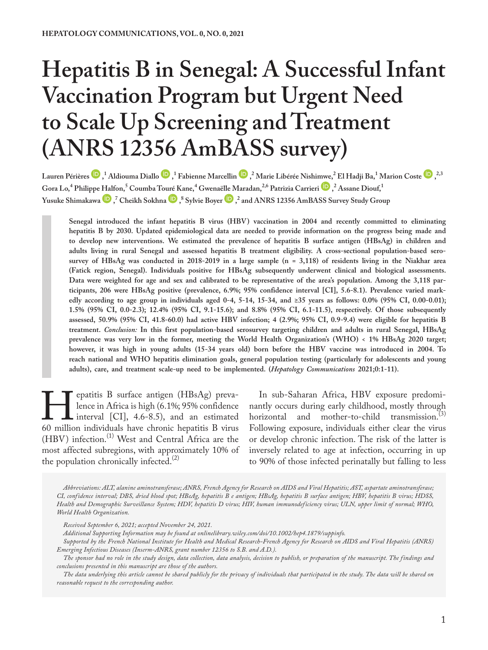# **Hepatitis B in Senegal: A Successful Infant Vaccination Program but Urgent Need to Scale Up Screening and Treatment (ANRS 12356 AmBASS survey)**

Laure[n](https://orcid.org/0000-0001-8853-3829) Périèr[e](https://orcid.org/0000-0001-9005-240X)s  $\bm{\mathbb{D}}$ , <sup>1</sup> Aldiouma Diallo  $\bm{\mathbb{D}}$ , <sup>1</sup> Fabienne Marcellin  $\bm{\mathbb{D}}$ , <sup>2</sup> Marie Libérée Nishi[mwe,](https://orcid.org/0000-0002-6794-4837) <sup>2</sup> El Hadji Ba, <sup>1</sup> Marion Coste  $\bm{\mathbb{D}}$ , <sup>2,3</sup> **Gora Lo,<sup>4</sup> Philippe [Half](https://orcid.org/0000-0002-4198-4785)on,5 Coumba To[uré K](https://orcid.org/0000-0003-4810-8232)ane,4 Gwena[ëlle M](https://orcid.org/0000-0002-7567-5200)aradan,2,6 Patrizia Carrieri , 2 Assane Diouf,1 Yusuke Shimakawa**  $\bullet$ ,  $\bullet$  Cheikh Sokhna  $\bullet$ ,  $\bullet$  Sylvie Boyer  $\bullet$  ,  $\bullet$  and ANRS 12356 AmBASS Survey Study Group

Senegal introduced the infant hepatitis B virus (HBV) vaccination in 2004 and recently committed to eliminating **hepatitis B by 2030. Updated epidemiological data are needed to provide information on the progress being made and to develop new interventions. We estimated the prevalence of hepatitis B surface antigen (HBsAg) in children and adults living in rural Senegal and assessed hepatitis B treatment eligibility. A cross-sectional population-based serosurvey of HBsAg was conducted in 2018-2019 in a large sample (n = 3,118) of residents living in the Niakhar area (Fatick region, Senegal). Individuals positive for HBsAg subsequently underwent clinical and biological assessments. Data were weighted for age and sex and calibrated to be representative of the area's population. Among the 3,118 participants, 206 were HBsAg positive (prevalence, 6.9%; 95% confidence interval [CI], 5.6-8.1). Prevalence varied mark**edly according to age group in individuals aged 0-4, 5-14, 15-34, and ≥35 years as follows:  $0.0\%$  (95% CI, 0.00-0.01); **1.5% (95% CI, 0.0-2.3); 12.4% (95% CI, 9.1-15.6); and 8.8% (95% CI, 6.1-11.5), respectively. Of those subsequently assessed, 50.9% (95% CI, 41.8-60.0) had active HBV infection; 4 (2.9%; 95% CI, 0.9-9.4) were eligible for hepatitis B treatment.** *Conclusion:* **In this first population-based serosurvey targeting children and adults in rural Senegal, HBsAg prevalence was very low in the former, meeting the World Health Organization's (WHO) < 1% HBsAg 2020 target; however, it was high in young adults (15-34 years old) born before the HBV vaccine was introduced in 2004. To reach national and WHO hepatitis elimination goals, general population testing (particularly for adolescents and young adults), care, and treatment scale-up need to be implemented. (***Hepatology Communications* **2021;0:1-11).**

Fepatitis B surface antigen (HBsAg) preva-<br>
lence in Africa is high (6.1%; 95% confidence<br>
interval [CI], 4.6-8.5), and an estimated<br>
60 million individuals have chronic hepatitis B virus lence in Africa is high (6.1%; 95% confidence interval [CI], 4.6-8.5), and an estimated (HBV) infection.<sup>(1)</sup> West and Central Africa are the most affected subregions, with approximately 10% of the population chronically infected. $(2)$ 

In sub-Saharan Africa, HBV exposure predominantly occurs during early childhood, mostly through horizontal and mother-to-child transmission. $^{(3)}$ Following exposure, individuals either clear the virus or develop chronic infection. The risk of the latter is inversely related to age at infection, occurring in up to 90% of those infected perinatally but falling to less

*Abbreviations: ALT, alanine aminotransferase; ANRS, French Agency for Research on AIDS and Viral Hepatitis; AST, aspartate aminotransferase; CI, confidence interval; DBS, dried blood spot; HBeAg, hepatitis B e antigen; HBsAg, hepatitis B surface antigen; HBV, hepatitis B virus; HDSS, Health and Demographic Surveillance System; HDV, hepatitis D virus; HIV, human immunodeficiency virus; ULN, upper limit of normal; WHO, World Health Organization.*

*Additional Supporting Information may be found at onlinelibrary.wiley.com/doi/10.1002/hep4.1879/suppinfo.*

*Received September 6, 2021; accepted November 24, 2021.*

*Supported by the French National Institute for Health and Medical Research-French Agency for Research on AIDS and Viral Hepatitis (ANRS) Emerging Infectious Diseases (Inserm-ANRS, grant number 12356 to S.B. and A.D.).*

*The sponsor had no role in the study design, data collection, data analysis, decision to publish, or preparation of the manuscript. The findings and conclusions presented in this manuscript are those of the authors.*

*The data underlying this article cannot be shared publicly for the privacy of individuals that participated in the study. The data will be shared on reasonable request to the corresponding author.*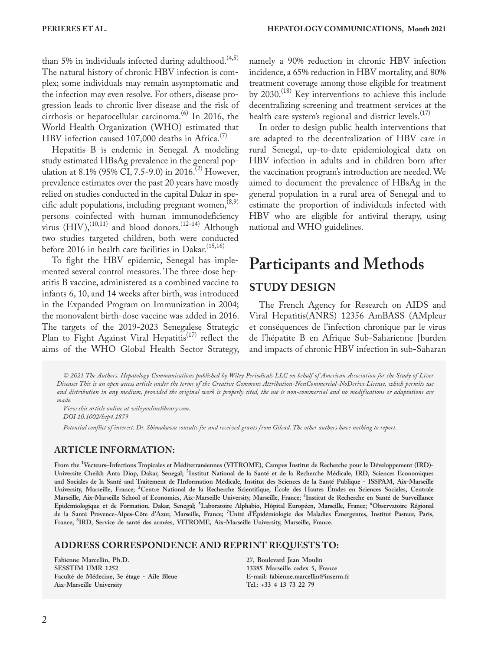than 5% in individuals infected during adulthood.<sup> $(4,5)$ </sup> The natural history of chronic HBV infection is complex; some individuals may remain asymptomatic and the infection may even resolve. For others, disease progression leads to chronic liver disease and the risk of cirrhosis or hepatocellular carcinoma.<sup>(6)</sup> In 2016, the World Health Organization (WHO) estimated that HBV infection caused  $107,000$  deaths in Africa.<sup>(7)</sup>

Hepatitis B is endemic in Senegal. A modeling study estimated HBsAg prevalence in the general population at 8.1% (95% CI, 7.5-9.0) in 2016.<sup>(2)</sup> However, prevalence estimates over the past 20 years have mostly relied on studies conducted in the capital Dakar in specific adult populations, including pregnant women,  $(8,9)$ persons coinfected with human immunodeficiency virus  $(HIV),<sup>(10,11)</sup>$  and blood donors.<sup>(12-14)</sup> Although two studies targeted children, both were conducted before 2016 in health care facilities in Dakar.<sup>(15,16)</sup>

To fight the HBV epidemic, Senegal has implemented several control measures. The three-dose hepatitis B vaccine, administered as a combined vaccine to infants 6, 10, and 14 weeks after birth, was introduced in the Expanded Program on Immunization in 2004; the monovalent birth-dose vaccine was added in 2016. The targets of the 2019-2023 Senegalese Strategic Plan to Fight Against Viral Hepatitis<sup>(17)</sup> reflect the aims of the WHO Global Health Sector Strategy,

namely a 90% reduction in chronic HBV infection incidence, a 65% reduction in HBV mortality, and 80% treatment coverage among those eligible for treatment by 2030.<sup>(18)</sup> Key interventions to achieve this include decentralizing screening and treatment services at the health care system's regional and district levels. $(17)$ 

In order to design public health interventions that are adapted to the decentralization of HBV care in rural Senegal, up-to-date epidemiological data on HBV infection in adults and in children born after the vaccination program's introduction are needed. We aimed to document the prevalence of HBsAg in the general population in a rural area of Senegal and to estimate the proportion of individuals infected with HBV who are eligible for antiviral therapy, using national and WHO guidelines.

## **Participants and Methods STUDY DESIGN**

The French Agency for Research on AIDS and Viral Hepatitis(ANRS) 12356 AmBASS (AMpleur et conséquences de l'infection chronique par le virus de l'hépatite B en Afrique Sub-Saharienne [burden and impacts of chronic HBV infection in sub-Saharan

*© 2021 The Authors. Hepatology Communications published by Wiley Periodicals LLC on behalf of American Association for the Study of Liver Diseases This is an open access article under the terms of the [Creative Commons Attribution-NonCommercial-NoDerivs](http://creativecommons.org/licenses/by-nc-nd/4.0/) License, which permits use and distribution in any medium, provided the original work is properly cited, the use is non-commercial and no modifications or adaptations are made.*

*View this article online at wileyonlinelibrary.com. DOI 10.1002/hep4.1879*

*Potential conflict of interest: Dr. Shimakawa consults for and received grants from Gilead. The other authors have nothing to report.*

#### **ARTICLE INFORMATION:**

**From the <sup>1</sup> Vecteurs–Infections Tropicales et Méditerranéennes (VITROME), Campus Institut de Recherche pour le Développement (IRD)- Universite Cheikh Anta Diop, Dakar, Senegal; <sup>2</sup> Institut National de la Santé et de la Recherche Médicale, IRD, Sciences Economiques and Sociales de la Santé and Traitement de l'Information Médicale, Institut des Sciences de la Santé Publique - ISSPAM, Aix-Marseille University, Marseille, France; <sup>3</sup> Centre National de la Recherche Scientifique, École des Hautes Études en Sciences Sociales, Centrale Marseille, Aix-Marseille School of Economics, Aix-Marseille University, Marseille, France; <sup>4</sup> Institut de Recherche en Santé de Surveillance Epidémiologique et de Formation, Dakar, Senegal; <sup>5</sup> Laboratoire Alphabio, Hôpital Européen, Marseille, France; <sup>6</sup> Observatoire Régional de la Santé Provence-Alpes-Côte d'Azur, Marseille, France; <sup>7</sup> Unité d'Épidémiologie des Maladies Émergentes, Institut Pasteur, Paris, France; <sup>8</sup> IRD, Service de santé des armées, VITROME, Aix-Marseille University, Marseille, France.**

#### **ADDRESS CORRESPONDENCE AND REPRINT REQUESTS TO:**

**Fabienne Marcellin, Ph.D. SESSTIM UMR 1252 Faculté de Médecine, 3e étage - Aile Bleue Aix-Marseille University** 

**27, Boulevard Jean Moulin 13385 Marseille cedex 5, France E-mail: [fabienne.marcellin@inserm.fr](mailto:fabienne.marcellin@inserm.fr) Tel.: +33 4 13 73 22 79**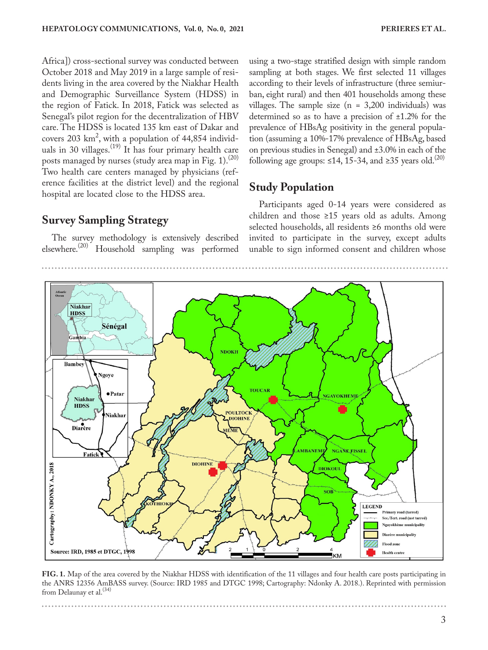Africa]) cross-sectional survey was conducted between October 2018 and May 2019 in a large sample of residents living in the area covered by the Niakhar Health and Demographic Surveillance System (HDSS) in the region of Fatick. In 2018, Fatick was selected as Senegal's pilot region for the decentralization of HBV care. The HDSS is located 135 km east of Dakar and covers 203 km<sup>2</sup>, with a population of 44,854 individuals in 30 villages.<sup>(19)</sup> It has four primary health care posts managed by nurses (study area map in Fig. 1).<sup>(20)</sup> Two health care centers managed by physicians (reference facilities at the district level) and the regional hospital are located close to the HDSS area.

### **Survey Sampling Strategy**

The survey methodology is extensively described elsewhere.<sup>(20)</sup> Household sampling was performed using a two-stage stratified design with simple random sampling at both stages. We first selected 11 villages according to their levels of infrastructure (three semiurban, eight rural) and then 401 households among these villages. The sample size  $(n = 3,200)$  individuals) was determined so as to have a precision of ±1.2% for the prevalence of HBsAg positivity in the general population (assuming a 10%-17% prevalence of HBsAg, based on previous studies in Senegal) and ±3.0% in each of the following age groups: ≤14, 15-34, and ≥35 years old.<sup>(20)</sup>

### **Study Population**

Participants aged 0-14 years were considered as children and those  $\geq 15$  years old as adults. Among selected households, all residents ≥6 months old were invited to participate in the survey, except adults unable to sign informed consent and children whose



**FIG. 1.** Map of the area covered by the Niakhar HDSS with identification of the 11 villages and four health care posts participating in the ANRS 12356 AmBASS survey. (Source: IRD 1985 and DTGC 1998; Cartography: Ndonky A. 2018.). Reprinted with permission from Delaunay et al.<sup>(34)</sup>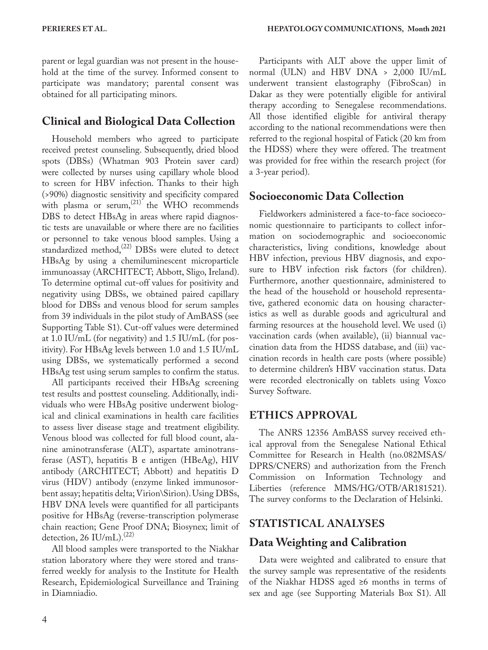parent or legal guardian was not present in the household at the time of the survey. Informed consent to participate was mandatory; parental consent was obtained for all participating minors.

## **Clinical and Biological Data Collection**

Household members who agreed to participate received pretest counseling. Subsequently, dried blood spots (DBSs) (Whatman 903 Protein saver card) were collected by nurses using capillary whole blood to screen for HBV infection. Thanks to their high (>90%) diagnostic sensitivity and specificity compared with plasma or serum,  $^{(21)}$  the WHO recommends DBS to detect HBsAg in areas where rapid diagnostic tests are unavailable or where there are no facilities or personnel to take venous blood samples. Using a standardized method, $^{(22)}$  DBSs were eluted to detect HBsAg by using a chemiluminescent microparticle immunoassay (ARCHITECT; Abbott, Sligo, Ireland). To determine optimal cut-off values for positivity and negativity using DBSs, we obtained paired capillary blood for DBSs and venous blood for serum samples from 39 individuals in the pilot study of AmBASS (see Supporting Table S1). Cut-off values were determined at 1.0 IU/mL (for negativity) and 1.5 IU/mL (for positivity). For HBsAg levels between 1.0 and 1.5 IU/mL using DBSs, we systematically performed a second HBsAg test using serum samples to confirm the status.

All participants received their HBsAg screening test results and posttest counseling. Additionally, individuals who were HBsAg positive underwent biological and clinical examinations in health care facilities to assess liver disease stage and treatment eligibility. Venous blood was collected for full blood count, alanine aminotransferase (ALT), aspartate aminotransferase (AST), hepatitis B e antigen (HBeAg), HIV antibody (ARCHITECT; Abbott) and hepatitis D virus (HDV) antibody (enzyme linked immunosorbent assay; hepatitis delta; Virion\Sirion). Using DBSs, HBV DNA levels were quantified for all participants positive for HBsAg (reverse-transcription polymerase chain reaction; Gene Proof DNA; Biosynex; limit of detection, 26 IU/mL). $^{(22)}$ 

All blood samples were transported to the Niakhar station laboratory where they were stored and transferred weekly for analysis to the Institute for Health Research, Epidemiological Surveillance and Training in Diamniadio.

Participants with ALT above the upper limit of normal (ULN) and HBV DNA > 2,000 IU/mL underwent transient elastography (FibroScan) in Dakar as they were potentially eligible for antiviral therapy according to Senegalese recommendations. All those identified eligible for antiviral therapy according to the national recommendations were then referred to the regional hospital of Fatick (20 km from the HDSS) where they were offered. The treatment was provided for free within the research project (for a 3-year period).

## **Socioeconomic Data Collection**

Fieldworkers administered a face-to-face socioeconomic questionnaire to participants to collect information on sociodemographic and socioeconomic characteristics, living conditions, knowledge about HBV infection, previous HBV diagnosis, and exposure to HBV infection risk factors (for children). Furthermore, another questionnaire, administered to the head of the household or household representative, gathered economic data on housing characteristics as well as durable goods and agricultural and farming resources at the household level. We used (i) vaccination cards (when available), (ii) biannual vaccination data from the HDSS database, and (iii) vaccination records in health care posts (where possible) to determine children's HBV vaccination status. Data were recorded electronically on tablets using Voxco Survey Software.

## **ETHICS APPROVAL**

The ANRS 12356 AmBASS survey received ethical approval from the Senegalese National Ethical Committee for Research in Health (no.082MSAS/ DPRS/CNERS) and authorization from the French Commission on Information Technology and Liberties (reference MMS/HG/OTB/AR181521). The survey conforms to the Declaration of Helsinki.

## **STATISTICAL ANALYSES**

## **Data Weighting and Calibration**

Data were weighted and calibrated to ensure that the survey sample was representative of the residents of the Niakhar HDSS aged ≥6 months in terms of sex and age (see Supporting Materials Box S1). All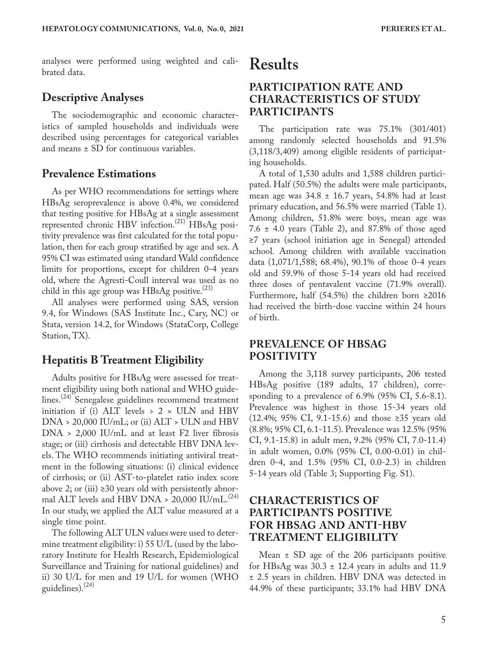analyses were performed using weighted and calibrated data.

#### **Descriptive Analyses**

The sociodemographic and economic characteristics of sampled households and individuals were described using percentages for categorical variables and means ± SD for continuous variables.

#### **Prevalence Estimations**

As per WHO recommendations for settings where HBsAg seroprevalence is above 0.4%, we considered that testing positive for HBsAg at a single assessment represented chronic HBV infection.<sup>(21)</sup> HBsAg positivity prevalence was first calculated for the total population, then for each group stratified by age and sex. A 95% CI was estimated using standard Wald confidence limits for proportions, except for children 0-4 years old, where the Agresti-Coull interval was used as no child in this age group was HBsAg positive.<sup>(23)</sup>

All analyses were performed using SAS, version 9.4, for Windows (SAS Institute Inc., Cary, NC) or Stata, version 14.2, for Windows (StataCorp, College Station, TX).

#### **Hepatitis B Treatment Eligibility**

Adults positive for HBsAg were assessed for treatment eligibility using both national and WHO guidelines.<sup>(24)</sup> Senegalese guidelines recommend treatment initiation if (i) ALT levels  $> 2 \times$  ULN and HBV  $DNA > 20,000$  IU/mL; or (ii)  $ALT > ULN$  and HBV  $DNA > 2,000$  IU/mL and at least F2 liver fibrosis stage; or (iii) cirrhosis and detectable HBV DNA levels. The WHO recommends initiating antiviral treatment in the following situations: (i) clinical evidence of cirrhosis; or (ii) AST-to-platelet ratio index score above 2; or (iii) ≥30 years old with persistently abnormal ALT levels and HBV DNA > 20,000 IU/mL.<sup>(24)</sup> In our study, we applied the ALT value measured at a single time point.

The following ALT ULN values were used to determine treatment eligibility: i) 55 U/L (used by the laboratory Institute for Health Research, Epidemiological Surveillance and Training for national guidelines) and ii) 30 U/L for men and 19 U/L for women (WHO guidelines). $(24)$ 

## **Results**

#### **PARTICIPATION RATE AND CHARACTERISTICS OF STUDY PARTICIPANTS**

The participation rate was 75.1% (301/401) among randomly selected households and 91.5% (3,118/3,409) among eligible residents of participating households.

A total of 1,530 adults and 1,588 children participated. Half (50.5%) the adults were male participants, mean age was  $34.8 \pm 16.7$  years, 54.8% had at least primary education, and 56.5% were married (Table 1). Among children, 51.8% were boys, mean age was 7.6 ± 4.0 years (Table 2), and 87.8% of those aged ≥7 years (school initiation age in Senegal) attended school. Among children with available vaccination data (1,071/1,588; 68.4%), 90.1% of those 0-4 years old and 59.9% of those 5-14 years old had received three doses of pentavalent vaccine (71.9% overall). Furthermore, half (54.5%) the children born ≥2016 had received the birth-dose vaccine within 24 hours of birth.

#### **PREVALENCE OF HBSAG POSITIVITY**

Among the 3,118 survey participants, 206 tested HBsAg positive (189 adults, 17 children), corresponding to a prevalence of 6.9% (95% CI, 5.6-8.1). Prevalence was highest in those 15-34 years old (12.4%; 95% CI, 9.1-15.6) and those ≥35 years old (8.8%; 95% CI, 6.1-11.5). Prevalence was 12.5% (95% CI, 9.1-15.8) in adult men, 9.2% (95% CI, 7.0-11.4) in adult women, 0.0% (95% CI, 0.00-0.01) in children 0-4, and 1.5% (95% CI, 0.0-2.3) in children 5-14 years old (Table 3; Supporting Fig. S1).

### **CHARACTERISTICS OF PARTICIPANTS POSITIVE FOR HBSAG AND ANTI-HBV TREATMENT ELIGIBILITY**

Mean ± SD age of the 206 participants positive for HBsAg was  $30.3 \pm 12.4$  years in adults and 11.9 ± 2.5 years in children. HBV DNA was detected in 44.9% of these participants; 33.1% had HBV DNA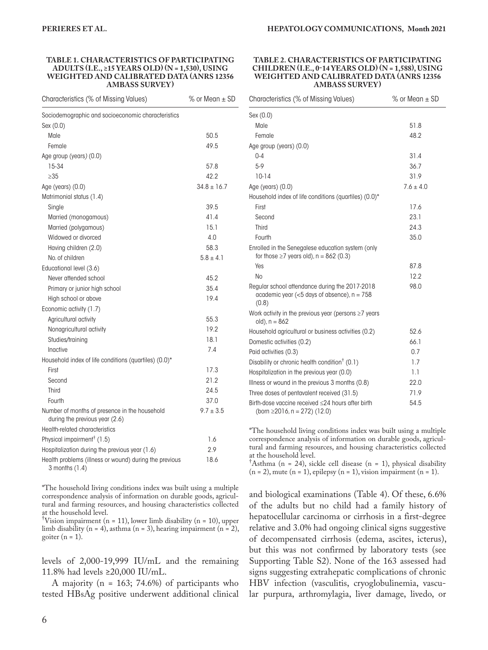#### **TABLE 1. CHARACTERISTICS OF PARTICIPATING ADULTS (I.E., ≥15 YEARS OLD) (N = 1,530), USING WEIGHTED AND CALIBRATED DATA (ANRS 12356 AMBASS SURVEY)**

| Characteristics (% of Missing Values)                                           | $%$ or Mean $±$ SD |
|---------------------------------------------------------------------------------|--------------------|
| Sociodemographic and socioeconomic characteristics                              |                    |
| Sex (0.0)                                                                       |                    |
| Male                                                                            | 50.5               |
| Female                                                                          | 49.5               |
| Age group (years) (0.0)                                                         |                    |
| 15-34                                                                           | 57.8               |
| $\geq$ 35                                                                       | 42.2               |
| Age (years) (0.0)                                                               | $34.8 \pm 16.7$    |
| Matrimonial status (1.4)                                                        |                    |
| Single                                                                          | 39.5               |
| Married (monogamous)                                                            | 41.4               |
| Married (polygamous)                                                            | 15.1               |
| Widowed or divorced                                                             | 4.0                |
| Having children (2.0)                                                           | 58.3               |
| No. of children                                                                 | $5.8 \pm 4.1$      |
| Educational level (3.6)                                                         |                    |
| Never attended school                                                           | 45.2               |
| Primary or junior high school                                                   | 35.4               |
| High school or above                                                            | 19.4               |
| Economic activity (1.7)                                                         |                    |
| Agricultural activity                                                           | 55.3               |
| Nonagricultural activity                                                        | 19.2               |
| Studies/training                                                                | 18.1               |
| Inactive                                                                        | 7.4                |
| Household index of life conditions (quartiles) (0.0)*                           |                    |
| First                                                                           | 17.3               |
| Second                                                                          | 21.2               |
| Third                                                                           | 24.5               |
| Fourth                                                                          | 37.0               |
| Number of months of presence in the household<br>during the previous year (2.6) | $9.7 \pm 3.5$      |
| Health-related characteristics                                                  |                    |
| Physical impairment <sup>†</sup> (1.5)                                          | 1.6                |
| Hospitalization during the previous year (1.6)                                  | 2.9                |
| Health problems (illness or wound) during the previous<br>3 months (1.4)        | 18.6               |

\*The household living conditions index was built using a multiple correspondence analysis of information on durable goods, agricultural and farming resources, and housing characteristics collected at the household level.

† Vision impairment (n = 11), lower limb disability (n = 10), upper limb disability (n = 4), asthma (n = 3), hearing impairment (n = 2), goiter  $(n = 1)$ .

levels of 2,000-19,999 IU/mL and the remaining 11.8% had levels ≥20,000 IU/mL.

A majority (n = 163; 74.6%) of participants who tested HBsAg positive underwent additional clinical

#### **TABLE 2. CHARACTERISTICS OF PARTICIPATING CHILDREN (I.E., 0-14 YEARS OLD) (N = 1,588), USING WEIGHTED AND CALIBRATED DATA (ANRS 12356 AMBASS SURVEY)**

| Characteristics (% of Missing Values)                                                                    | $%$ or Mean $\pm$ SD |
|----------------------------------------------------------------------------------------------------------|----------------------|
| Sex (0.0)                                                                                                |                      |
| Male                                                                                                     | 51.8                 |
| Female                                                                                                   | 48.2                 |
| Age group (years) (0.0)                                                                                  |                      |
| $0 - 4$                                                                                                  | 31.4                 |
| $5-9$                                                                                                    | 36.7                 |
| $10-14$                                                                                                  | 31.9                 |
| Age (years) $(0.0)$                                                                                      | $7.6 \pm 4.0$        |
| Household index of life conditions (quartiles) (0.0)*                                                    |                      |
| First                                                                                                    | 17.6                 |
| Second                                                                                                   | 23.1                 |
| <b>Third</b>                                                                                             | 24.3                 |
| Fourth                                                                                                   | 35.0                 |
| Enrolled in the Senegalese education system (only<br>for those $\geq$ 7 years old), n = 862 (0.3)        |                      |
| Yes                                                                                                      | 87.8                 |
| No                                                                                                       | 12.2                 |
| Regular school attendance during the 2017-2018<br>academic year (<5 days of absence), $n = 758$<br>(0.8) | 98.0                 |
| Work activity in the previous year (persons $\geq$ 7 years<br>$old)$ , $n = 862$                         |                      |
| Household agricultural or business activities (0.2)                                                      | 52.6                 |
| Domestic activities (0.2)                                                                                | 66.1                 |
| Paid activities (0.3)                                                                                    | 0.7                  |
| Disability or chronic health condition <sup>†</sup> (0.1)                                                | 1.7                  |
| Hospitalization in the previous year (0.0)                                                               | 1.1                  |
| Illness or wound in the previous 3 months (0.8)                                                          | 22.0                 |
| Three doses of pentavalent received (31.5)                                                               | 71.9                 |
| Birth-dose vaccine received ≤24 hours after birth<br>(born $\geq$ 2016, n = 272) (12.0)                  | 54.5                 |

\*The household living conditions index was built using a multiple correspondence analysis of information on durable goods, agricultural and farming resources, and housing characteristics collected at the household level.

† Asthma (n = 24), sickle cell disease (n = 1), physical disability  $(n = 2)$ , mute  $(n = 1)$ , epilepsy  $(n = 1)$ , vision impairment  $(n = 1)$ .

and biological examinations (Table 4). Of these, 6.6% of the adults but no child had a family history of hepatocellular carcinoma or cirrhosis in a first-degree relative and 3.0% had ongoing clinical signs suggestive of decompensated cirrhosis (edema, ascites, icterus), but this was not confirmed by laboratory tests (see Supporting Table S2). None of the 163 assessed had signs suggesting extrahepatic complications of chronic HBV infection (vasculitis, cryoglobulinemia, vascular purpura, arthromylagia, liver damage, livedo, or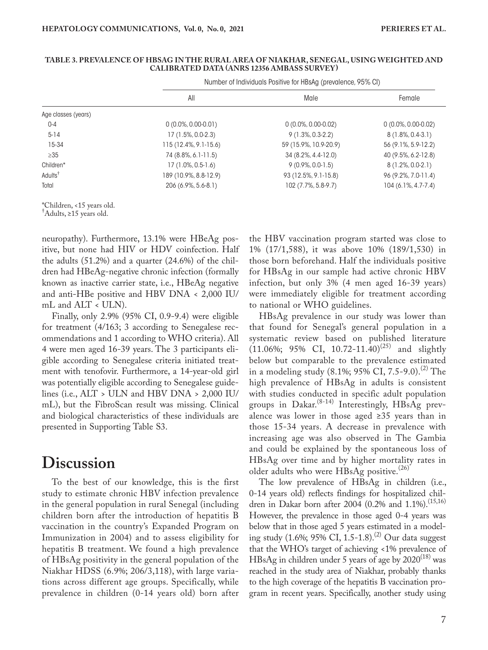#### **TABLE 3. PREVALENCE OF HBSAG IN THE RURAL AREA OF NIAKHAR, SENEGAL, USING WEIGHTED AND CALIBRATED DATA (ANRS 12356 AMBASS SURVEY)**

Number of Individuals Positive for HBsAg (prevalence, 95% CI)

|                     | All                   | Male                  | Female                |
|---------------------|-----------------------|-----------------------|-----------------------|
| Age classes (years) |                       |                       |                       |
| $0 - 4$             | $0(0.0\%, 0.00-0.01)$ | $0(0.0\%, 0.00-0.02)$ | $0(0.0\%, 0.00-0.02)$ |
| $5 - 14$            | 17 (1.5%, 0.0-2.3)    | $9(1.3\%, 0.3-2.2)$   | $8(1.8\%, 0.4-3.1)$   |
| 15-34               | 115 (12.4%, 9.1-15.6) | 59 (15.9%, 10.9-20.9) | 56 (9.1%, 5.9-12.2)   |
| $\geq 35$           | 74 (8.8%, 6.1-11.5)   | 34 (8.2%, 4.4-12.0)   | 40 (9.5%, 6.2-12.8)   |
| Children*           | 17 (1.0%, 0.5-1.6)    | $9(0.9\%, 0.0-1.5)$   | $8(1.2\%, 0.0-2.1)$   |
| Adults <sup>†</sup> | 189 (10.9%, 8.8-12.9) | 93 (12.5%, 9.1-15.8)  | 96 (9.2%, 7.0-11.4)   |
| Total               | 206 (6.9%, 5.6-8.1)   | 102 (7.7%, 5.8-9.7)   | 104 (6.1%, 4.7-7.4)   |

\*Children, <15 years old.

† Adults, ≥15 years old.

neuropathy). Furthermore, 13.1% were HBeAg positive, but none had HIV or HDV coinfection. Half the adults (51.2%) and a quarter (24.6%) of the children had HBeAg-negative chronic infection (formally known as inactive carrier state, i.e., HBeAg negative and anti-HBe positive and HBV  $DNA < 2,000$  IU/ mL and ALT < ULN).

Finally, only 2.9% (95% CI, 0.9-9.4) were eligible for treatment (4/163; 3 according to Senegalese recommendations and 1 according to WHO criteria). All 4 were men aged 16-39 years. The 3 participants eligible according to Senegalese criteria initiated treatment with tenofovir. Furthermore, a 14-year-old girl was potentially eligible according to Senegalese guidelines (i.e., ALT > ULN and HBV DNA > 2,000 IU/ mL), but the FibroScan result was missing. Clinical and biological characteristics of these individuals are presented in Supporting Table S3.

## **Discussion**

To the best of our knowledge, this is the first study to estimate chronic HBV infection prevalence in the general population in rural Senegal (including children born after the introduction of hepatitis B vaccination in the country's Expanded Program on Immunization in 2004) and to assess eligibility for hepatitis B treatment. We found a high prevalence of HBsAg positivity in the general population of the Niakhar HDSS (6.9%; 206/3,118), with large variations across different age groups. Specifically, while prevalence in children (0-14 years old) born after the HBV vaccination program started was close to 1% (17/1,588), it was above 10% (189/1,530) in those born beforehand. Half the individuals positive for HBsAg in our sample had active chronic HBV infection, but only 3% (4 men aged 16-39 years) were immediately eligible for treatment according to national or WHO guidelines.

HBsAg prevalence in our study was lower than that found for Senegal's general population in a systematic review based on published literature  $(11.06\%; 95\% \text{ CI}, 10.72-11.40)^{(25)}$  and slightly below but comparable to the prevalence estimated in a modeling study (8.1%; 95% CI, 7.5-9.0).<sup>(2)</sup> The high prevalence of HBsAg in adults is consistent with studies conducted in specific adult population groups in Dakar.<sup>(8-14)</sup> Interestingly, HBsAg prevalence was lower in those aged ≥35 years than in those 15-34 years. A decrease in prevalence with increasing age was also observed in The Gambia and could be explained by the spontaneous loss of HBsAg over time and by higher mortality rates in older adults who were  $HBsAg$  positive.<sup>(26)</sup>

The low prevalence of HBsAg in children (i.e., 0-14 years old) reflects findings for hospitalized children in Dakar born after 2004 (0.2% and 1.1%).<sup>(15,16)</sup> However, the prevalence in those aged 0-4 years was below that in those aged 5 years estimated in a modeling study (1.6%; 95% CI, 1.5-1.8).<sup>(2)</sup> Our data suggest that the WHO's target of achieving <1% prevalence of  $HBsAg$  in children under 5 years of age by  $2020^{(18)}$  was reached in the study area of Niakhar, probably thanks to the high coverage of the hepatitis B vaccination program in recent years. Specifically, another study using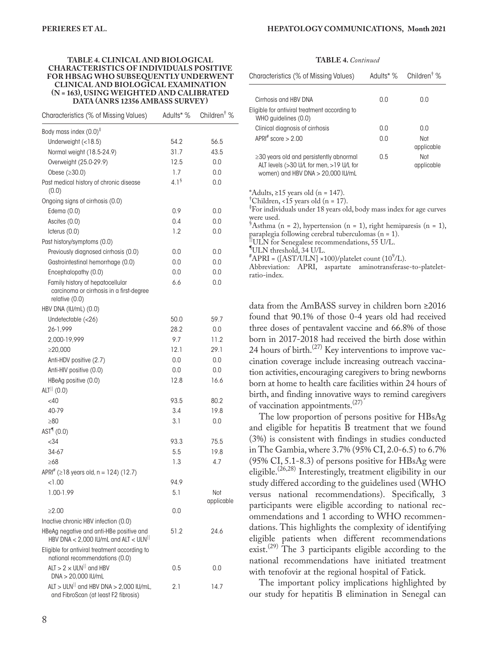#### **TABLE 4. CLINICAL AND BIOLOGICAL CHARACTERISTICS OF INDIVIDUALS POSITIVE FOR HBSAG WHO SUBSEQUENTLY UNDERWENT CLINICAL AND BIOLOGICAL EXAMINATION (N = 163), USING WEIGHTED AND CALIBRATED DATA (ANRS 12356 AMBASS SURVEY)**

| Characteristics (% of Missing Values)                                                             | Adults* %        | Children <sup>†</sup> % |
|---------------------------------------------------------------------------------------------------|------------------|-------------------------|
| Body mass index (0.0) <sup>‡</sup>                                                                |                  |                         |
| Underweight (<18.5)                                                                               | 54.2             | 56.5                    |
| Normal weight (18.5-24.9)                                                                         | 31.7             | 43.5                    |
| Overweight (25.0-29.9)                                                                            | 12.5             | 0.0                     |
| Obese (≥30.0)                                                                                     | 1.7              | 0.0                     |
| Past medical history of chronic disease<br>(0.0)                                                  | 4.1 <sup>§</sup> | 0.0                     |
| Ongoing signs of cirrhosis (0.0)                                                                  |                  |                         |
| Edema (0.0)                                                                                       | 0.9              | 0.0                     |
| Ascites (0.0)                                                                                     | 0.4              | 0.0                     |
| Icterus (0.0)                                                                                     | 1.2              | 0.0                     |
| Past history/symptoms (0.0)                                                                       |                  |                         |
| Previously diagnosed cirrhosis (0.0)                                                              | 0.0              | 0.0                     |
| Gastrointestinal hemorrhage (0.0)                                                                 | 0.0              | 0.0                     |
| Encephalopathy (0.0)                                                                              | 0.0              | 0.0                     |
| Family history of hepatocellular<br>carcinoma or cirrhosis in a first-degree<br>relative $(0.0)$  | 6.6              | 0.0                     |
| HBV DNA (IU/mL) (0.0)                                                                             |                  |                         |
| Undetectable (<26)                                                                                | 50.0             | 59.7                    |
| 26-1,999                                                                                          | 28.2             | 0.0                     |
| 2,000-19,999                                                                                      | 9.7              | 11.2                    |
| $\geq$ 20,000                                                                                     | 12.1             | 29.1                    |
| Anti-HDV positive (2.7)                                                                           | 0.0              | 0.0                     |
| Anti-HIV positive (0.0)                                                                           | 0.0              | 0.0                     |
| HBeAg positive (0.0)                                                                              | 12.8             | 16.6                    |
| $ALT^{  }$ (0.0)                                                                                  |                  |                         |
| $<$ 40                                                                                            | 93.5             | 80.2                    |
| 40-79                                                                                             | 3.4              | 19.8                    |
| $\geq 80$                                                                                         | 3.1              | 0.0                     |
| AST <sup>q</sup> (0.0)                                                                            |                  |                         |
|                                                                                                   |                  |                         |
| < 34                                                                                              | 93.3             | 75.5                    |
| 34-67                                                                                             | 5.5              | 19.8                    |
| $\geq 68$                                                                                         | 1.3              | 4.7                     |
| APRI $\#$ ( $\geq$ 18 years old, n = 124) (12.7)                                                  |                  |                         |
| < 1.00                                                                                            | 94.9             |                         |
| 1.00-1.99                                                                                         | 5.1              | Not<br>applicable       |
| $\geq 2.00$                                                                                       | 0.0              |                         |
| Inactive chronic HBV infection (0.0)                                                              |                  |                         |
| HBeAg negative and anti-HBe positive and<br>HBV DNA $<$ 2,000 IU/mL and ALT $<$ ULN <sup>II</sup> | 51.2             | 24.6                    |
| Eligible for antiviral treatment according to<br>national recommendations (0.0)                   |                  |                         |
| $ALT > 2 \times ULN$ <sup>  </sup> and HBV<br>DNA > 20,000 IU/mL                                  | 0.5              | 0.0                     |
| $ALT > ULN$ <sup>  </sup> and HBV DNA > 2,000 IU/mL,<br>and FibroScan (at least F2 fibrosis)      | 2.1              | 14.7                    |

#### **TABLE 4.** *Continued*

| Characteristics (% of Missing Values)                                                                                            |     | Adults* $\%$ Children <sup>†</sup> $\%$ |
|----------------------------------------------------------------------------------------------------------------------------------|-----|-----------------------------------------|
| Cirrhosis and HBV DNA                                                                                                            | 0.0 | 0.O                                     |
| Eligible for antiviral treatment according to<br>WHO guidelines (0.0)                                                            |     |                                         |
| Clinical diagnosis of cirrhosis                                                                                                  | 0.0 | n n                                     |
| APRI# score $> 2.00$                                                                                                             | 0.0 | Not<br>applicable                       |
| $\geq$ 30 years old and persistently abnormal<br>ALT levels (>30 U/L for men, >19 U/L for<br>women) and HBV DNA $>$ 20,000 IU/mL | 0.5 | Not<br>applicable                       |

\*Adults, ≥15 years old (n = 147).

<sup>†</sup>Children, <15 years old (n = 17).

‡ For individuals under 18 years old, body mass index for age curves were used.

 ${}^{\$}$ Asthma (n = 2), hypertension (n = 1), right hemiparesis (n = 1), paraplegia following cerebral tuberculomas (n = 1).<br>||ULN for Senegalese recommendations, 55 U/L.

ULN threshold, 34 U/L.

 $^{\#}$ APRI = ([AST/ULN] ×100)/platelet count (10<sup>9</sup>/L).

Abbreviation: APRI, aspartate aminotransferase-to-plateletratio-index.

data from the AmBASS survey in children born ≥2016 found that 90.1% of those 0-4 years old had received three doses of pentavalent vaccine and 66.8% of those born in 2017-2018 had received the birth dose within 24 hours of birth.<sup>(27)</sup> Key interventions to improve vaccination coverage include increasing outreach vaccination activities, encouraging caregivers to bring newborns born at home to health care facilities within 24 hours of birth, and finding innovative ways to remind caregivers of vaccination appointments.(27)

The low proportion of persons positive for HBsAg and eligible for hepatitis B treatment that we found (3%) is consistent with findings in studies conducted in The Gambia, where 3.7% (95% CI, 2.0-6.5) to 6.7% (95% CI, 5.1-8.3) of persons positive for HBsAg were eligible.<sup>(26,28)</sup> Interestingly, treatment eligibility in our study differed according to the guidelines used (WHO versus national recommendations). Specifically, 3 participants were eligible according to national recommendations and 1 according to WHO recommendations. This highlights the complexity of identifying eligible patients when different recommendations exist.<sup>(29)</sup> The 3 participants eligible according to the national recommendations have initiated treatment with tenofovir at the regional hospital of Fatick.

The important policy implications highlighted by our study for hepatitis B elimination in Senegal can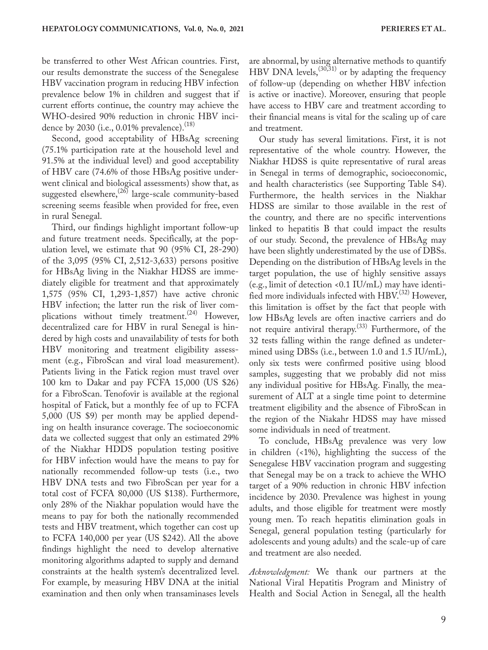be transferred to other West African countries. First, our results demonstrate the success of the Senegalese HBV vaccination program in reducing HBV infection prevalence below 1% in children and suggest that if current efforts continue, the country may achieve the WHO-desired 90% reduction in chronic HBV incidence by 2030 (i.e.,  $0.01\%$  prevalence).<sup>(18)</sup>

Second, good acceptability of HBsAg screening (75.1% participation rate at the household level and 91.5% at the individual level) and good acceptability of HBV care (74.6% of those HBsAg positive underwent clinical and biological assessments) show that, as suggested elsewhere,<sup>(26)</sup> large-scale community-based screening seems feasible when provided for free, even in rural Senegal.

Third, our findings highlight important follow-up and future treatment needs. Specifically, at the population level, we estimate that 90 (95% CI, 28-290) of the 3,095 (95% CI, 2,512-3,633) persons positive for HBsAg living in the Niakhar HDSS are immediately eligible for treatment and that approximately 1,575 (95% CI, 1,293-1,857) have active chronic HBV infection; the latter run the risk of liver complications without timely treatment.<sup>(24)</sup> However, decentralized care for HBV in rural Senegal is hindered by high costs and unavailability of tests for both HBV monitoring and treatment eligibility assessment (e.g., FibroScan and viral load measurement). Patients living in the Fatick region must travel over 100 km to Dakar and pay FCFA 15,000 (US \$26) for a FibroScan. Tenofovir is available at the regional hospital of Fatick, but a monthly fee of up to FCFA 5,000 (US \$9) per month may be applied depending on health insurance coverage. The socioeconomic data we collected suggest that only an estimated 29% of the Niakhar HDDS population testing positive for HBV infection would have the means to pay for nationally recommended follow-up tests (i.e., two HBV DNA tests and two FibroScan per year for a total cost of FCFA 80,000 (US \$138). Furthermore, only 28% of the Niakhar population would have the means to pay for both the nationally recommended tests and HBV treatment, which together can cost up to FCFA 140,000 per year (US \$242). All the above findings highlight the need to develop alternative monitoring algorithms adapted to supply and demand constraints at the health system's decentralized level. For example, by measuring HBV DNA at the initial examination and then only when transaminases levels

are abnormal, by using alternative methods to quantify HBV DNA levels,  $(30,31)$  or by adapting the frequency of follow-up (depending on whether HBV infection is active or inactive). Moreover, ensuring that people have access to HBV care and treatment according to their financial means is vital for the scaling up of care and treatment.

Our study has several limitations. First, it is not representative of the whole country. However, the Niakhar HDSS is quite representative of rural areas in Senegal in terms of demographic, socioeconomic, and health characteristics (see Supporting Table S4). Furthermore, the health services in the Niakhar HDSS are similar to those available in the rest of the country, and there are no specific interventions linked to hepatitis B that could impact the results of our study. Second, the prevalence of HBsAg may have been slightly underestimated by the use of DBSs. Depending on the distribution of HBsAg levels in the target population, the use of highly sensitive assays (e.g., limit of detection <0.1 IU/mL) may have identified more individuals infected with  $HBV^{(32)}$  However, this limitation is offset by the fact that people with low HBsAg levels are often inactive carriers and do not require antiviral therapy.<sup>(33)</sup> Furthermore, of the 32 tests falling within the range defined as undetermined using DBSs (i.e., between 1.0 and 1.5 IU/mL), only six tests were confirmed positive using blood samples, suggesting that we probably did not miss any individual positive for HBsAg. Finally, the measurement of ALT at a single time point to determine treatment eligibility and the absence of FibroScan in the region of the Niakahr HDSS may have missed some individuals in need of treatment.

To conclude, HBsAg prevalence was very low in children (<1%), highlighting the success of the Senegalese HBV vaccination program and suggesting that Senegal may be on a track to achieve the WHO target of a 90% reduction in chronic HBV infection incidence by 2030. Prevalence was highest in young adults, and those eligible for treatment were mostly young men. To reach hepatitis elimination goals in Senegal, general population testing (particularly for adolescents and young adults) and the scale-up of care and treatment are also needed.

*Acknowledgment:* We thank our partners at the National Viral Hepatitis Program and Ministry of Health and Social Action in Senegal, all the health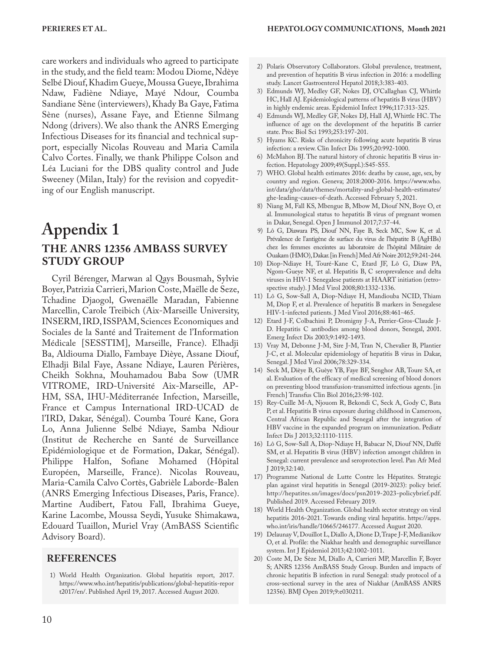care workers and individuals who agreed to participate in the study, and the field team: Modou Diome, Ndèye Selbé Diouf, Khadim Gueye, Moussa Gueye, Ibrahima Ndaw, Fadiène Ndiaye, Mayé Ndour, Coumba Sandiane Sène (interviewers), Khady Ba Gaye, Fatima Sène (nurses), Assane Faye, and Etienne Silmang Ndong (drivers). We also thank the ANRS Emerging Infectious Diseases for its financial and technical support, especially Nicolas Rouveau and Maria Camila Calvo Cortes. Finally, we thank Philippe Colson and Léa Luciani for the DBS quality control and Jude Sweeney (Milan, Italy) for the revision and copyediting of our English manuscript.

## **Appendix 1 THE ANRS 12356 AMBASS SURVEY STUDY GROUP**

Cyril Bérenger, Marwan al Qays Bousmah, Sylvie Boyer, Patrizia Carrieri, Marion Coste, Maëlle de Seze, Tchadine Djaogol, Gwenaëlle Maradan, Fabienne Marcellin, Carole Treibich (Aix-Marseille University, INSERM, IRD, ISSPAM, Sciences Economiques and Sociales de la Santé and Traitement de l'Information Médicale [SESSTIM], Marseille, France). Elhadji Ba, Aldiouma Diallo, Fambaye Dièye, Assane Diouf, Elhadji Bilal Faye, Assane Ndiaye, Lauren Périères, Cheikh Sokhna, Mouhamadou Baba Sow (UMR VITROME, IRD-Université Aix-Marseille, AP-HM, SSA, IHU-Méditerranée Infection, Marseille, France et Campus International IRD-UCAD de l'IRD, Dakar, Sénégal). Coumba Touré Kane, Gora Lo, Anna Julienne Selbé Ndiaye, Samba Ndiour (Institut de Recherche en Santé de Surveillance Epidémiologique et de Formation, Dakar, Sénégal). Philippe Halfon, Sofiane Mohamed (Hôpital Européen, Marseille, France). Nicolas Rouveau, Maria-Camila Calvo Cortès, Gabrièle Laborde-Balen (ANRS Emerging Infectious Diseases, Paris, France). Martine Audibert, Fatou Fall, Ibrahima Gueye, Karine Lacombe, Moussa Seydi, Yusuke Shimakawa, Edouard Tuaillon, Muriel Vray (AmBASS Scientific Advisory Board).

#### **REFERENCES**

1) World Health Organization. Global hepatitis report, 2017. [https://www.who.int/hepatitis/publications/global-hepatitis-repor](https://www.who.int/hepatitis/publications/global-hepatitis-report2017/en/) [t2017/en/](https://www.who.int/hepatitis/publications/global-hepatitis-report2017/en/). Published April 19, 2017. Accessed August 2020.

- 2) Polaris Observatory Collaborators. Global prevalence, treatment, and prevention of hepatitis B virus infection in 2016: a modelling study. Lancet Gastroenterol Hepatol 2018;3:383-403.
- 3) Edmunds WJ, Medley GF, Nokes DJ, O'Callaghan CJ, Whittle HC, Hall AJ. Epidemiological patterns of hepatitis B virus (HBV) in highly endemic areas. Epidemiol Infect 1996;117:313-325.
- 4) Edmunds WJ, Medley GF, Nokes DJ, Hall AJ, Whittle HC. The influence of age on the development of the hepatitis B carrier state. Proc Biol Sci 1993;253:197-201.
- 5) Hyams KC. Risks of chronicity following acute hepatitis B virus infection: a review. Clin Infect Dis 1995;20:992-1000.
- 6) McMahon BJ. The natural history of chronic hepatitis B virus infection. Hepatology 2009;49(Suppl.):S45-S55.
- 7) WHO. Global health estimates 2016: deaths by cause, age, sex, by country and region. Geneva; 2018:2000-2016. [https://www.who.](https://www.who.int/data/gho/data/themes/mortality-and-global-health-estimates/ghe-leading-causes-of-death) [int/data/gho/data/themes/mortality-and-global-health-estimates/](https://www.who.int/data/gho/data/themes/mortality-and-global-health-estimates/ghe-leading-causes-of-death) [ghe-leading-causes-of-death.](https://www.who.int/data/gho/data/themes/mortality-and-global-health-estimates/ghe-leading-causes-of-death) Accessed February 5, 2021.
- 8) Niang M, Fall KS, Mbengue B, Mbow M, Diouf NN, Boye O, et al. Immunological status to hepatitis B virus of pregnant women in Dakar, Senegal. Open J Immunol 2017;7:37-44.
- 9) Lô G, Diawara PS, Diouf NN, Faye B, Seck MC, Sow K, et al. Prévalence de l'antigène de surface du virus de l'hépatite B (AgHBs) chez les femmes enceintes au laboratoire de l'hôpital Militaire de Ouakam (HMO), Dakar. [in French] Med Afr Noire 2012;59:241-244.
- 10) Diop-Ndiaye H, Touré-Kane C, Etard JF, Lô G, Diaw PA, Ngom-Gueye NF, et al. Hepatitis B, C seroprevalence and delta viruses in HIV-1 Senegalese patients at HAART initiation (retrospective study). J Med Virol 2008;80:1332-1336.
- 11) Lô G, Sow-Sall A, Diop-Ndiaye H, Mandiouba NCID, Thiam M, Diop F, et al. Prevalence of hepatitis B markers in Senegalese HIV-1-infected patients. J Med Virol 2016;88:461-465.
- 12) Etard J-F, Colbachini P, Dromigny J-A, Perrier-Gros-Claude J-D. Hepatitis C antibodies among blood donors, Senegal, 2001. Emerg Infect Dis 2003;9:1492-1493.
- 13) Vray M, Debonne J-M, Sire J-M, Tran N, Chevalier B, Plantier J-C, et al. Molecular epidemiology of hepatitis B virus in Dakar, Senegal. J Med Virol 2006;78:329-334.
- 14) Seck M, Dièye B, Guèye YB, Faye BF, Senghor AB, Toure SA, et al. Evaluation of the efficacy of medical screening of blood donors on preventing blood transfusion-transmitted infectious agents. [in French] Transfus Clin Biol 2016;23:98-102.
- 15) Rey-Cuille M-A, Njouom R, Bekondi C, Seck A, Gody C, Bata P, et al. Hepatitis B virus exposure during childhood in Cameroon, Central African Republic and Senegal after the integration of HBV vaccine in the expanded program on immunization. Pediatr Infect Dis J 2013;32:1110-1115.
- 16) Lô G, Sow-Sall A, Diop-Ndiaye H, Babacar N, Diouf NN, Daffé SM, et al. Hepatitis B virus (HBV) infection amongst children in Senegal: current prevalence and seroprotection level. Pan Afr Med J 2019;32:140.
- 17) Programme National de Lutte Contre les Hépatites. Strategic plan against viral hepatitis in Senegal (2019-2023): policy brief. [http://hepatites.sn/images/docs/psn2019-2023-policybrief.pdf](http://hepatites.sn/images/docs/psn2019 102023 10policybrief.pdf). Published 2019. Accessed February 2019.
- 18) World Health Organization. Global health sector strategy on viral hepatitis 2016-2021. Towards ending viral hepatitis. [https://apps.](https://apps.who.int/iris/handle/10665/246177) [who.int/iris/handle/10665/246177.](https://apps.who.int/iris/handle/10665/246177) Accessed August 2020.
- 19) Delaunay V, Douillot L, Diallo A, Dione D, Trape J-F, Medianikov O, et al. Profile: the Niakhar health and demographic surveillance system. Int J Epidemiol 2013;42:1002-1011.
- 20) Coste M, De Sèze M, Diallo A, Carrieri MP, Marcellin F, Boyer S; ANRS 12356 AmBASS Study Group. Burden and impacts of chronic hepatitis B infection in rural Senegal: study protocol of a cross-sectional survey in the area of Niakhar (AmBASS ANRS 12356). BMJ Open 2019;9:e030211.